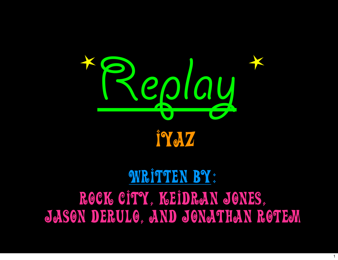

## **OVRITTEN BY:** Rock City, Keidran Jones, Jason DeRulo, and Jonathan Rotem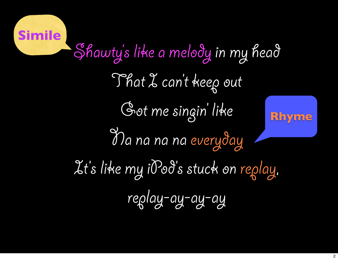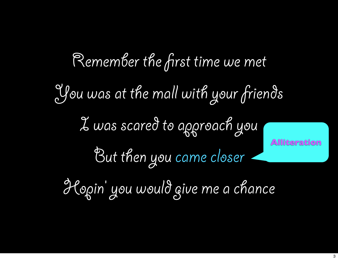Remember the first time we met You was at the mall with your friends I was scared to approach you But then you came closer Hopin' you would give me a chance **Alliteration**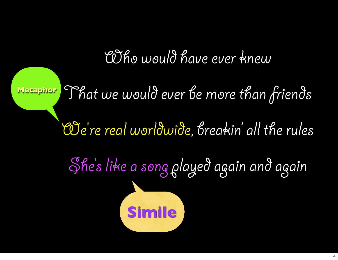## Who would have ever knew

**Metaphor**

That we would ever be more than friends We're real worldwide, breakin' all the rules

She's like a song played again and again

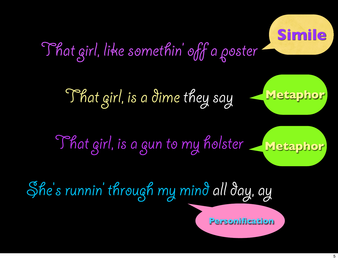

**Metaphor**

**Metaphor**

# That girl, like somethin' off a poster

That girl, is a dime they say

That girl, is a gun to my holster

She's runnin' through my mind all day, ay

**Personification**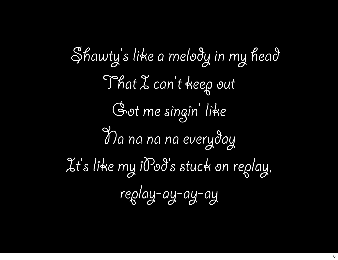Shawty's like a melody in my head That I can't keep out Got me singin' like Na na na na everyday It's like my iPod's stuck on replay, replay-ay-ay-ay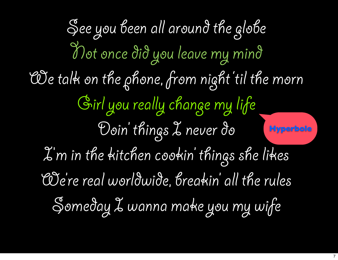See you been all around the globe Not once did you leave my mind We talk on the phone, from night 'til the morn Girl you really change my life Doin' things I never do I'm in the kitchen cookin' things she likes We're real worldwide, breakin' all the rules Someday I wanna make you my wife **hole**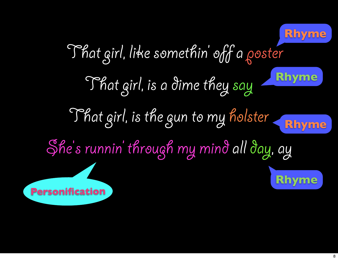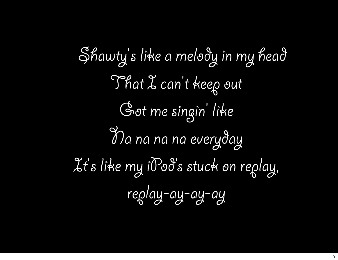Shawty's like a melody in my head That I can't keep out Got me singin' like Na na na na everyday It's like my iPod's stuck on replay, replay-ay-ay-ay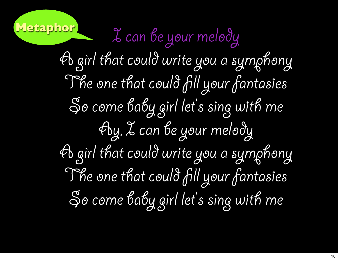# **Metaphor**

I can be your melody A girl that could write you a symphony The one that could fill your fantasies So come baby girl let's sing with me Ay, I can be your melody A girl that could write you a symphony The one that could fill your fantasies So come baby girl let's sing with me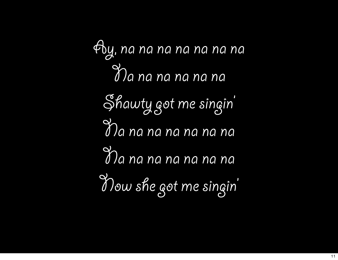Ay, na na na na na na na Na na na na na na Shawty got me singin' Na na na na na na na Na na na na na na na Now she got me singin'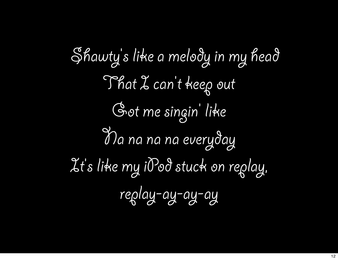Shawty's like a melody in my head That I can't keep out Got me singin' like Na na na na everyday It's like my iPod stuck on replay, replay-ay-ay-ay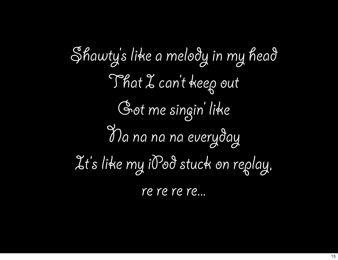Shawty's like a melody in my head That I can't keep out Got me singin' like Na na na na everyday It's like my iPod stuck on replay, re re re re...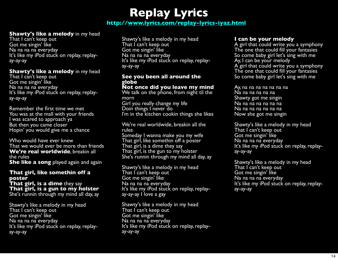## **Replay Lyrics http:/[/www.lyrics.com/replay-lyrics-iyaz.html](http://www.lyrics.com/replay-lyrics-iyaz.html)**

## **Shawty's like a melody** in my head That I can't keep out

Got me singin' like Na na na na everyday It's like my iPod stuck on replay, replayay-ay-ay

**Shawty's like a melody** in my head That I can't keep out Got me singin' like Na na na na everyday It's like my iPod stuck on replay, replayay-ay-ay

Remember the first time we met You was at the mall with your friends I was scared to approach ya But then you came closer Hopin' you would give me a chance

Who would have ever knew That we would ever be more than friends **We're real worldwide**, breakin all the rules **She like a song** played again and again

### **That girl, like somethin off a poster That girl, is a dime** they say **That girl, is a gun to my holster**

She's runnin through my mind all day, ay

Shawty's like a melody in my head That I can't keep out Got me singin' like Na na na na everyday It's like my iPod stuck on replay, replayay-ay-ay

Shawty's like a melody in my head That I can't keep out Got me singin' like Na na na na everyday It's like my iPod stuck on replay, replayay-ay-ay

## **See you been all around the globe**

**Not once did you leave my mind** We talk on the phone, from night til the morn Girl you really change my life Doin things I never do I'm in the kitchen cookin things she likes

We're real worldwide, breakin all the rules Someday I wanna make you my wife That girl, like somethin off a poster That girl, is a dime they say That girl, is the gun to my holster She's runnin through my mind all day, ay

Shawty's like a melody in my head That I can't keep out Got me singin' like Na na na na everyday It's like my iPod stuck on replay, replayay-ay-ay I love a gay

Shawty's like a melody in my head That I can't keep out Got me singin' like Na na na na everyday It's like my iPod stuck on replay, replayay-ay-ay

## **I can be your melody**

A girl that could write you a symphony The one that could fill your fantasies So come baby girl let's sing with me Ay, I can be your melody A girl that could write you a symphony The one that could fill your fantasies So come baby girl let's sing with me

Ay, na na na na na na na Na na na na na na Shawty got me singin Na na na na na na na Na na na na na na na Now she got me singin

Shawty's like a melody in my head That I can't keep out Got me singin' like Na na na na everyday It's like my iPod stuck on replay, replayay-ay-ay

Shawty's like a melody in my head That I can't keep out Got me singin' like Na na na na everyday It's like my iPod stuck on replay, replayay-ay-ay